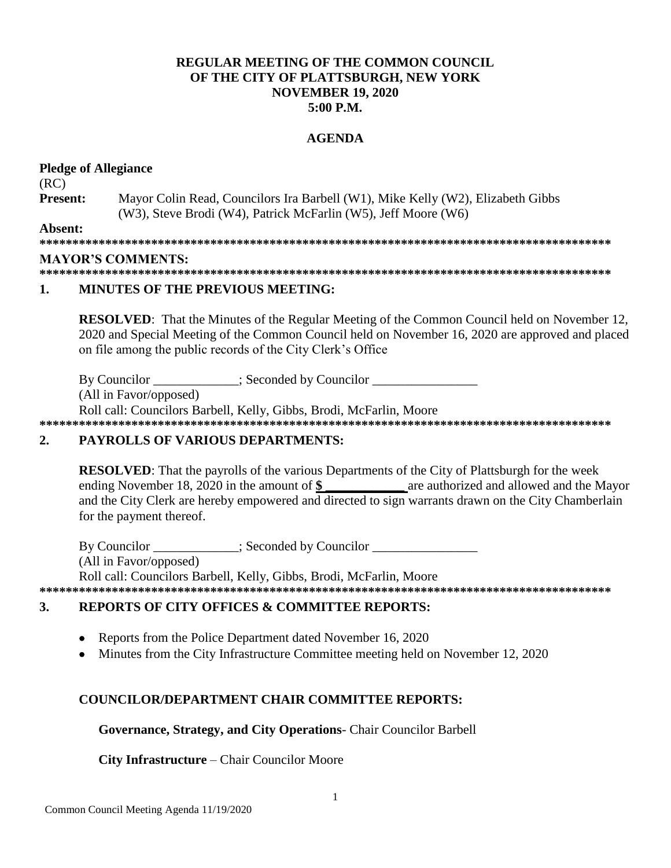# **REGULAR MEETING OF THE COMMON COUNCIL** OF THE CITY OF PLATTSBURGH, NEW YORK **NOVEMBER 19, 2020**  $5:00$  P.M.

# **AGENDA**

#### **Pledge of Allegiance**

 $(RC)$ **Present:** Mayor Colin Read, Councilors Ira Barbell (W1), Mike Kelly (W2), Elizabeth Gibbs (W3), Steve Brodi (W4), Patrick McFarlin (W5), Jeff Moore (W6) Absent:

#### **MAYOR'S COMMENTS:**

#### 1. **MINUTES OF THE PREVIOUS MEETING:**

**RESOLVED:** That the Minutes of the Regular Meeting of the Common Council held on November 12, 2020 and Special Meeting of the Common Council held on November 16, 2020 are approved and placed on file among the public records of the City Clerk's Office

By Councilor \_\_\_\_\_\_\_\_\_\_; Seconded by Councilor \_\_\_\_\_\_\_\_\_ (All in Favor/opposed)

Roll call: Councilors Barbell, Kelly, Gibbs, Brodi, McFarlin, Moore 

#### **PAYROLLS OF VARIOUS DEPARTMENTS:**  $\overline{2}$ .

**RESOLVED:** That the payrolls of the various Departments of the City of Plattsburgh for the week ending November 18, 2020 in the amount of  $\frac{1}{2}$  are authorized and allowed and the Mayor and the City Clerk are hereby empowered and directed to sign warrants drawn on the City Chamberlain for the payment thereof.

By Councilor \_\_\_\_\_\_\_\_\_\_\_; Seconded by Councilor \_\_\_\_\_\_\_\_\_\_\_\_ (All in Favor/opposed) Roll call: Councilors Barbell, Kelly, Gibbs, Brodi, McFarlin, Moore

#### **REPORTS OF CITY OFFICES & COMMITTEE REPORTS:**  $3.$

- Reports from the Police Department dated November 16, 2020
- Minutes from the City Infrastructure Committee meeting held on November 12, 2020  $\bullet$

# **COUNCILOR/DEPARTMENT CHAIR COMMITTEE REPORTS:**

#### Governance, Strategy, and City Operations- Chair Councilor Barbell

#### **City Infrastructure – Chair Councilor Moore**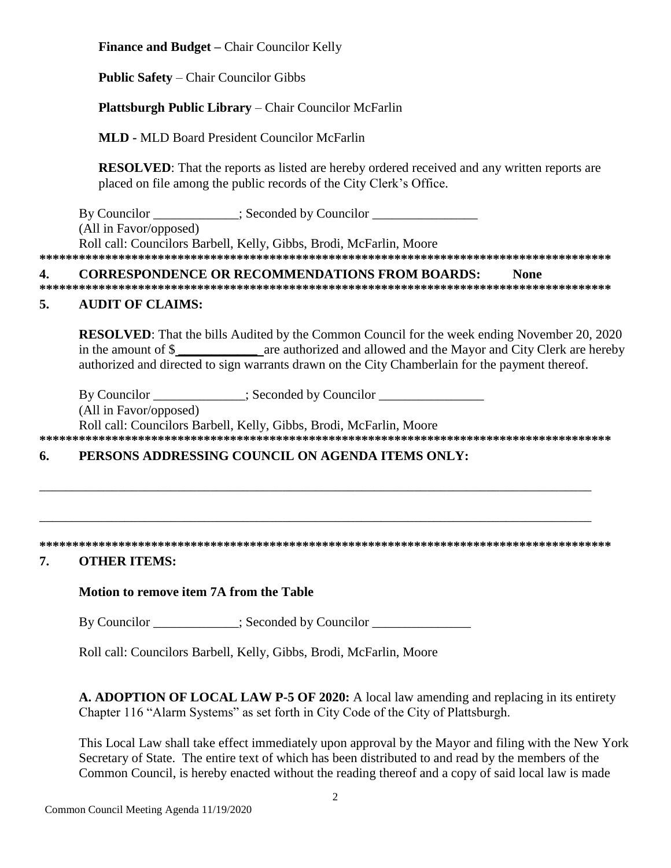**Finance and Budget –** Chair Councilor Kelly

**Public Safety** – Chair Councilor Gibbs

# **Plattsburgh Public Library** – Chair Councilor McFarlin

**MLD -** MLD Board President Councilor McFarlin

**RESOLVED**: That the reports as listed are hereby ordered received and any written reports are placed on file among the public records of the City Clerk's Office.

By Councilor \_\_\_\_\_\_\_\_\_\_\_; Seconded by Councilor \_\_\_\_\_\_\_\_\_\_\_\_\_\_\_\_\_\_\_\_\_\_\_\_\_\_\_\_\_\_\_\_ (All in Favor/opposed) Roll call: Councilors Barbell, Kelly, Gibbs, Brodi, McFarlin, Moore **\*\*\*\*\*\*\*\*\*\*\*\*\*\*\*\*\*\*\*\*\*\*\*\*\*\*\*\*\*\*\*\*\*\*\*\*\*\*\*\*\*\*\*\*\*\*\*\*\*\*\*\*\*\*\*\*\*\*\*\*\*\*\*\*\*\*\*\*\*\*\*\*\*\*\*\*\*\*\*\*\*\*\*\*\*\*\***

# **4. CORRESPONDENCE OR RECOMMENDATIONS FROM BOARDS: None**

**\*\*\*\*\*\*\*\*\*\*\*\*\*\*\*\*\*\*\*\*\*\*\*\*\*\*\*\*\*\*\*\*\*\*\*\*\*\*\*\*\*\*\*\*\*\*\*\*\*\*\*\*\*\*\*\*\*\*\*\*\*\*\*\*\*\*\*\*\*\*\*\*\*\*\*\*\*\*\*\*\*\*\*\*\*\*\***

# **5. AUDIT OF CLAIMS:**

**RESOLVED:** That the bills Audited by the Common Council for the week ending November 20, 2020 in the amount of \$ **\_\_\_\_\_\_\_\_\_\_\_\_** are authorized and allowed and the Mayor and City Clerk are hereby authorized and directed to sign warrants drawn on the City Chamberlain for the payment thereof.

By Councilor \_\_\_\_\_\_\_\_\_\_\_; Seconded by Councilor \_\_\_\_\_\_\_\_\_\_\_\_\_\_\_\_\_\_\_\_\_\_\_\_\_\_\_\_\_\_\_\_

(All in Favor/opposed)

Roll call: Councilors Barbell, Kelly, Gibbs, Brodi, McFarlin, Moore

**\*\*\*\*\*\*\*\*\*\*\*\*\*\*\*\*\*\*\*\*\*\*\*\*\*\*\*\*\*\*\*\*\*\*\*\*\*\*\*\*\*\*\*\*\*\*\*\*\*\*\*\*\*\*\*\*\*\*\*\*\*\*\*\*\*\*\*\*\*\*\*\*\*\*\*\*\*\*\*\*\*\*\*\*\*\*\***

\_\_\_\_\_\_\_\_\_\_\_\_\_\_\_\_\_\_\_\_\_\_\_\_\_\_\_\_\_\_\_\_\_\_\_\_\_\_\_\_\_\_\_\_\_\_\_\_\_\_\_\_\_\_\_\_\_\_\_\_\_\_\_\_\_\_\_\_\_\_\_\_\_\_\_\_\_\_\_\_\_\_\_\_

\_\_\_\_\_\_\_\_\_\_\_\_\_\_\_\_\_\_\_\_\_\_\_\_\_\_\_\_\_\_\_\_\_\_\_\_\_\_\_\_\_\_\_\_\_\_\_\_\_\_\_\_\_\_\_\_\_\_\_\_\_\_\_\_\_\_\_\_\_\_\_\_\_\_\_\_\_\_\_\_\_\_\_\_

# **6. PERSONS ADDRESSING COUNCIL ON AGENDA ITEMS ONLY:**

#### **\*\*\*\*\*\*\*\*\*\*\*\*\*\*\*\*\*\*\*\*\*\*\*\*\*\*\*\*\*\*\*\*\*\*\*\*\*\*\*\*\*\*\*\*\*\*\*\*\*\*\*\*\*\*\*\*\*\*\*\*\*\*\*\*\*\*\*\*\*\*\*\*\*\*\*\*\*\*\*\*\*\*\*\*\*\*\***

# **7. OTHER ITEMS:**

# **Motion to remove item 7A from the Table**

By Councilor  $\qquad \qquad :$  Seconded by Councilor

Roll call: Councilors Barbell, Kelly, Gibbs, Brodi, McFarlin, Moore

**A. ADOPTION OF LOCAL LAW P-5 OF 2020:** A local law amending and replacing in its entirety Chapter 116 "Alarm Systems" as set forth in City Code of the City of Plattsburgh.

This Local Law shall take effect immediately upon approval by the Mayor and filing with the New York Secretary of State. The entire text of which has been distributed to and read by the members of the Common Council, is hereby enacted without the reading thereof and a copy of said local law is made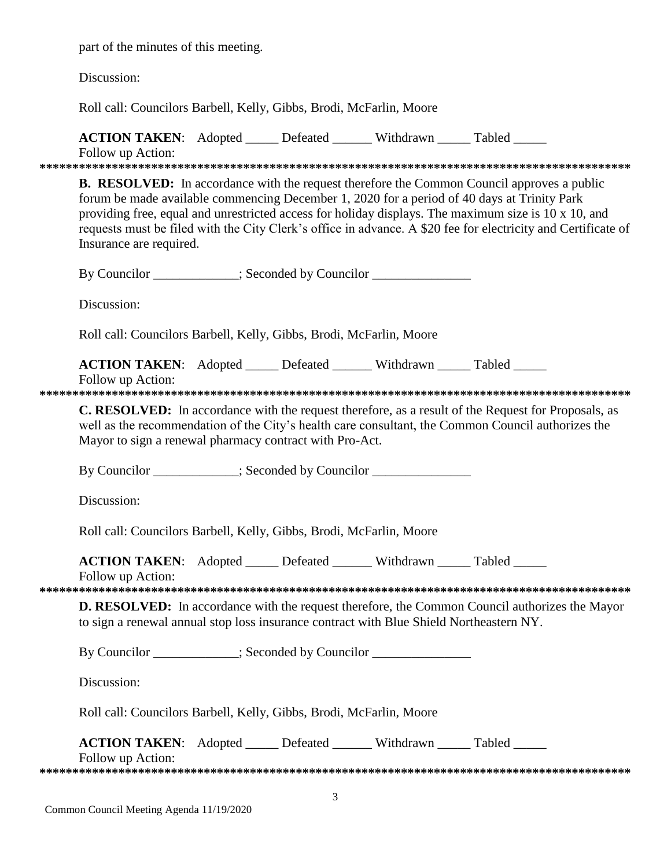part of the minutes of this meeting.

Discussion:

Roll call: Councilors Barbell, Kelly, Gibbs, Brodi, McFarlin, Moore

|                   | ACTION TAKEN: Adopted _____ Defeated ______ Withdrawn _____ Tabled _____<br>Follow up Action:                                                                                                                                                                                                                                                                                                                                                        |  |  |  |  |
|-------------------|------------------------------------------------------------------------------------------------------------------------------------------------------------------------------------------------------------------------------------------------------------------------------------------------------------------------------------------------------------------------------------------------------------------------------------------------------|--|--|--|--|
|                   |                                                                                                                                                                                                                                                                                                                                                                                                                                                      |  |  |  |  |
|                   | <b>B. RESOLVED:</b> In accordance with the request therefore the Common Council approves a public<br>forum be made available commencing December 1, 2020 for a period of 40 days at Trinity Park<br>providing free, equal and unrestricted access for holiday displays. The maximum size is 10 x 10, and<br>requests must be filed with the City Clerk's office in advance. A \$20 fee for electricity and Certificate of<br>Insurance are required. |  |  |  |  |
|                   | By Councilor ___________; Seconded by Councilor ______________                                                                                                                                                                                                                                                                                                                                                                                       |  |  |  |  |
|                   | Discussion:                                                                                                                                                                                                                                                                                                                                                                                                                                          |  |  |  |  |
|                   | Roll call: Councilors Barbell, Kelly, Gibbs, Brodi, McFarlin, Moore                                                                                                                                                                                                                                                                                                                                                                                  |  |  |  |  |
|                   | ACTION TAKEN: Adopted _____ Defeated ______ Withdrawn _____ Tabled _____                                                                                                                                                                                                                                                                                                                                                                             |  |  |  |  |
| Follow up Action: |                                                                                                                                                                                                                                                                                                                                                                                                                                                      |  |  |  |  |
|                   | C. RESOLVED: In accordance with the request therefore, as a result of the Request for Proposals, as<br>well as the recommendation of the City's health care consultant, the Common Council authorizes the<br>Mayor to sign a renewal pharmacy contract with Pro-Act.                                                                                                                                                                                 |  |  |  |  |
|                   | By Councilor __________; Seconded by Councilor _________________________________                                                                                                                                                                                                                                                                                                                                                                     |  |  |  |  |
|                   | Discussion:                                                                                                                                                                                                                                                                                                                                                                                                                                          |  |  |  |  |
|                   | Roll call: Councilors Barbell, Kelly, Gibbs, Brodi, McFarlin, Moore                                                                                                                                                                                                                                                                                                                                                                                  |  |  |  |  |
|                   | ACTION TAKEN: Adopted _____ Defeated ______ Withdrawn _____ Tabled _____<br>Follow up Action:                                                                                                                                                                                                                                                                                                                                                        |  |  |  |  |
|                   | <b>D. RESOLVED:</b> In accordance with the request therefore, the Common Council authorizes the Mayor<br>to sign a renewal annual stop loss insurance contract with Blue Shield Northeastern NY.                                                                                                                                                                                                                                                     |  |  |  |  |
|                   | By Councilor ___________; Seconded by Councilor _______________                                                                                                                                                                                                                                                                                                                                                                                      |  |  |  |  |
|                   | Discussion:                                                                                                                                                                                                                                                                                                                                                                                                                                          |  |  |  |  |
|                   | Roll call: Councilors Barbell, Kelly, Gibbs, Brodi, McFarlin, Moore                                                                                                                                                                                                                                                                                                                                                                                  |  |  |  |  |
|                   | <b>ACTION TAKEN:</b> Adopted _____ Defeated ______ Withdrawn _____ Tabled _____<br>Follow up Action:                                                                                                                                                                                                                                                                                                                                                 |  |  |  |  |
|                   |                                                                                                                                                                                                                                                                                                                                                                                                                                                      |  |  |  |  |